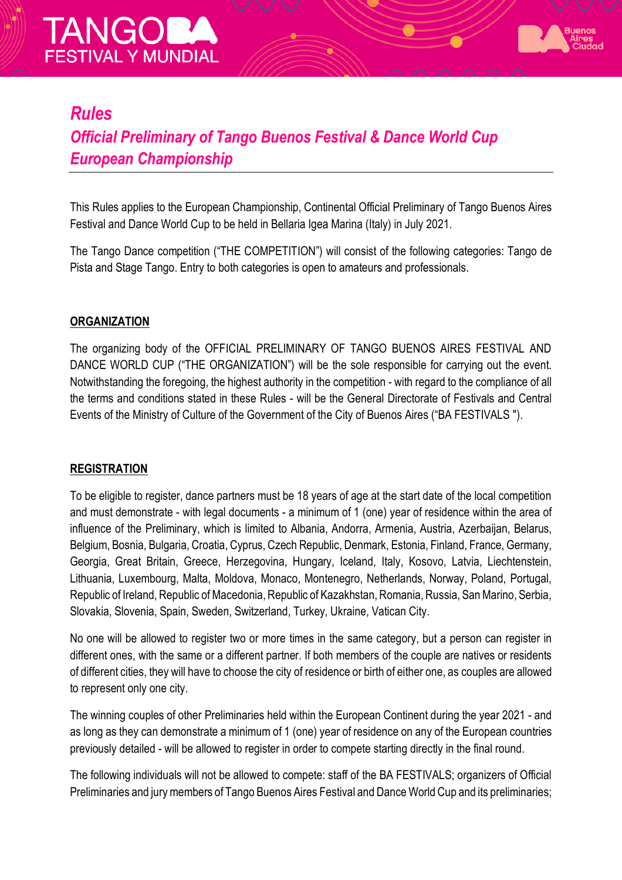



## *Rules*

## *Official Preliminary of Tango Buenos Festival & Dance World Cup European Championship*

This Rules applies to the European Championship, Continental Official Preliminary of Tango Buenos Aires Festival and Dance World Cup to be held in Bellaria Igea Marina (Italy) in July 2021.

The Tango Dance competition ("THE COMPETITION") will consist of the following categories: Tango de Pista and Stage Tango. Entry to both categories is open to amateurs and professionals.

#### **ORGANIZATION**

The organizing body of the OFFICIAL PRELIMINARY OF TANGO BUENOS AIRES FESTIVAL AND DANCE WORLD CUP ("THE ORGANIZATION") will be the sole responsible for carrying out the event. Notwithstanding the foregoing, the highest authority in the competition - with regard to the compliance of all the terms and conditions stated in these Rules - will be the General Directorate of Festivals and Central Events of the Ministry of Culture of the Government of the City of Buenos Aires ("BA FESTIVALS ").

#### **REGISTRATION**

To be eligible to register, dance partners must be 18 years of age at the start date of the local competition and must demonstrate - with legal documents - a minimum of 1 (one) year of residence within the area of influence of the Preliminary, which is limited to Albania, Andorra, Armenia, Austria, Azerbaijan, Belarus, Belgium, Bosnia, Bulgaria, Croatia, Cyprus, Czech Republic, Denmark, Estonia, Finland, France, Germany, Georgia, Great Britain, Greece, Herzegovina, Hungary, Iceland, Italy, Kosovo, Latvia, Liechtenstein, Lithuania, Luxembourg, Malta, Moldova, Monaco, Montenegro, Netherlands, Norway, Poland, Portugal, Republic of Ireland, Republic of Macedonia, Republic of Kazakhstan, Romania, Russia, San Marino, Serbia, Slovakia, Slovenia, Spain, Sweden, Switzerland, Turkey, Ukraine, Vatican City.

No one will be allowed to register two or more times in the same category, but a person can register in different ones, with the same or a different partner. If both members of the couple are natives or residents of different cities, they will have to choose the city of residence or birth of either one, as couples are allowed to represent only one city.

The winning couples of other Preliminaries held within the European Continent during the year 2021 - and as long as they can demonstrate a minimum of 1 (one) year of residence on any of the European countries previously detailed - will be allowed to register in order to compete starting directly in the final round.

The following individuals will not be allowed to compete: staff of the BA FESTIVALS; organizers of Official Preliminaries and jury members of Tango Buenos Aires Festival and Dance World Cup and its preliminaries;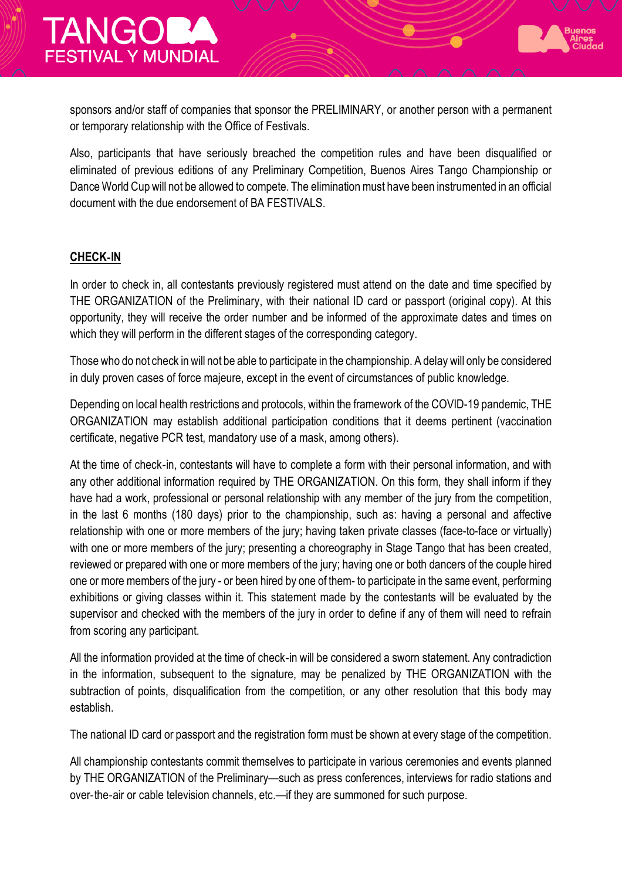

sponsors and/or staff of companies that sponsor the PRELIMINARY, or another person with a permanent or temporary relationship with the Office of Festivals.

Also, participants that have seriously breached the competition rules and have been disqualified or eliminated of previous editions of any Preliminary Competition, Buenos Aires Tango Championship or Dance World Cup will not be allowed to compete. The elimination must have been instrumented in an official document with the due endorsement of BA FESTIVALS.

#### **CHECK**-**IN**

In order to check in, all contestants previously registered must attend on the date and time specified by THE ORGANIZATION of the Preliminary, with their national ID card or passport (original copy). At this opportunity, they will receive the order number and be informed of the approximate dates and times on which they will perform in the different stages of the corresponding category.

Those who do not check in will not be able to participate in the championship. A delay will only be considered in duly proven cases of force majeure, except in the event of circumstances of public knowledge.

Depending on local health restrictions and protocols, within the framework of the COVID-19 pandemic, THE ORGANIZATION may establish additional participation conditions that it deems pertinent (vaccination certificate, negative PCR test, mandatory use of a mask, among others).

At the time of check-in, contestants will have to complete a form with their personal information, and with any other additional information required by THE ORGANIZATION. On this form, they shall inform if they have had a work, professional or personal relationship with any member of the jury from the competition, in the last 6 months (180 days) prior to the championship, such as: having a personal and affective relationship with one or more members of the jury; having taken private classes (face-to-face or virtually) with one or more members of the jury; presenting a choreography in Stage Tango that has been created, reviewed or prepared with one or more members of the jury; having one or both dancers of the couple hired one or more members of the jury - or been hired by one of them- to participate in the same event, performing exhibitions or giving classes within it. This statement made by the contestants will be evaluated by the supervisor and checked with the members of the jury in order to define if any of them will need to refrain from scoring any participant.

All the information provided at the time of check-in will be considered a sworn statement. Any contradiction in the information, subsequent to the signature, may be penalized by THE ORGANIZATION with the subtraction of points, disqualification from the competition, or any other resolution that this body may establish.

The national ID card or passport and the registration form must be shown at every stage of the competition.

All championship contestants commit themselves to participate in various ceremonies and events planned by THE ORGANIZATION of the Preliminary—such as press conferences, interviews for radio stations and over-the-air or cable television channels, etc.—if they are summoned for such purpose.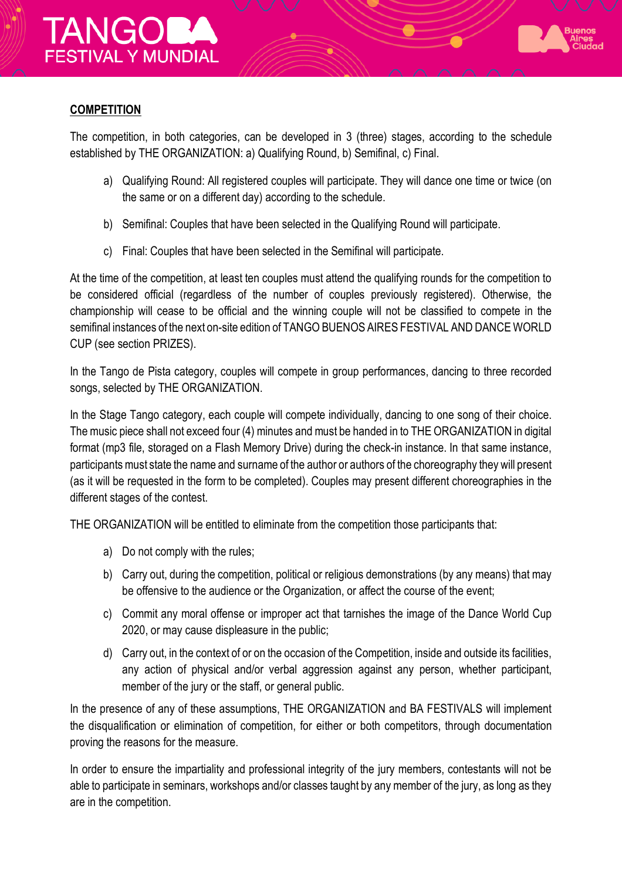



#### **COMPETITION**

The competition, in both categories, can be developed in 3 (three) stages, according to the schedule established by THE ORGANIZATION: a) Qualifying Round, b) Semifinal, c) Final.

- a) Qualifying Round: All registered couples will participate. They will dance one time or twice (on the same or on a different day) according to the schedule.
- b) Semifinal: Couples that have been selected in the Qualifying Round will participate.
- c) Final: Couples that have been selected in the Semifinal will participate.

At the time of the competition, at least ten couples must attend the qualifying rounds for the competition to be considered official (regardless of the number of couples previously registered). Otherwise, the championship will cease to be official and the winning couple will not be classified to compete in the semifinal instances of the next on-site edition of TANGO BUENOS AIRES FESTIVAL AND DANCE WORLD CUP (see section PRIZES).

In the Tango de Pista category, couples will compete in group performances, dancing to three recorded songs, selected by THE ORGANIZATION.

In the Stage Tango category, each couple will compete individually, dancing to one song of their choice. The music piece shall not exceed four (4) minutes and must be handed in to THE ORGANIZATION in digital format (mp3 file, storaged on a Flash Memory Drive) during the check-in instance. In that same instance, participants must state the name and surname of the author or authors of the choreography they will present (as it will be requested in the form to be completed). Couples may present different choreographies in the different stages of the contest.

THE ORGANIZATION will be entitled to eliminate from the competition those participants that:

- a) Do not comply with the rules;
- b) Carry out, during the competition, political or religious demonstrations (by any means) that may be offensive to the audience or the Organization, or affect the course of the event;
- c) Commit any moral offense or improper act that tarnishes the image of the Dance World Cup 2020, or may cause displeasure in the public;
- d) Carry out, in the context of or on the occasion of the Competition, inside and outside its facilities, any action of physical and/or verbal aggression against any person, whether participant, member of the jury or the staff, or general public.

In the presence of any of these assumptions, THE ORGANIZATION and BA FESTIVALS will implement the disqualification or elimination of competition, for either or both competitors, through documentation proving the reasons for the measure.

In order to ensure the impartiality and professional integrity of the jury members, contestants will not be able to participate in seminars, workshops and/or classes taught by any member of the jury, as long as they are in the competition.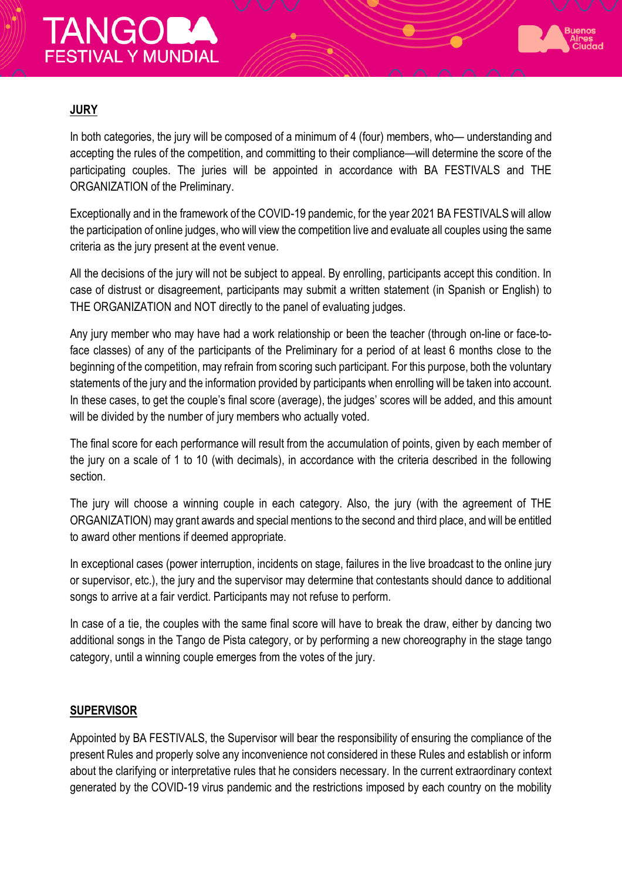# **TANGORA FESTIVAL Y MUNDIAL**



## **JURY**

In both categories, the jury will be composed of a minimum of 4 (four) members, who— understanding and accepting the rules of the competition, and committing to their compliance—will determine the score of the participating couples. The juries will be appointed in accordance with BA FESTIVALS and THE ORGANIZATION of the Preliminary.

Exceptionally and in the framework of the COVID-19 pandemic, for the year 2021 BA FESTIVALS will allow the participation of online judges, who will view the competition live and evaluate all couples using the same criteria as the jury present at the event venue.

All the decisions of the jury will not be subject to appeal. By enrolling, participants accept this condition. In case of distrust or disagreement, participants may submit a written statement (in Spanish or English) to THE ORGANIZATION and NOT directly to the panel of evaluating judges.

Any jury member who may have had a work relationship or been the teacher (through on-line or face-toface classes) of any of the participants of the Preliminary for a period of at least 6 months close to the beginning of the competition, may refrain from scoring such participant. For this purpose, both the voluntary statements of the jury and the information provided by participants when enrolling will be taken into account. In these cases, to get the couple's final score (average), the judges' scores will be added, and this amount will be divided by the number of jury members who actually voted.

The final score for each performance will result from the accumulation of points, given by each member of the jury on a scale of 1 to 10 (with decimals), in accordance with the criteria described in the following section.

The jury will choose a winning couple in each category. Also, the jury (with the agreement of THE ORGANIZATION) may grant awards and special mentions to the second and third place, and will be entitled to award other mentions if deemed appropriate.

In exceptional cases (power interruption, incidents on stage, failures in the live broadcast to the online jury or supervisor, etc.), the jury and the supervisor may determine that contestants should dance to additional songs to arrive at a fair verdict. Participants may not refuse to perform.

In case of a tie, the couples with the same final score will have to break the draw, either by dancing two additional songs in the Tango de Pista category, or by performing a new choreography in the stage tango category, until a winning couple emerges from the votes of the jury.

#### **SUPERVISOR**

Appointed by BA FESTIVALS, the Supervisor will bear the responsibility of ensuring the compliance of the present Rules and properly solve any inconvenience not considered in these Rules and establish or inform about the clarifying or interpretative rules that he considers necessary. In the current extraordinary context generated by the COVID-19 virus pandemic and the restrictions imposed by each country on the mobility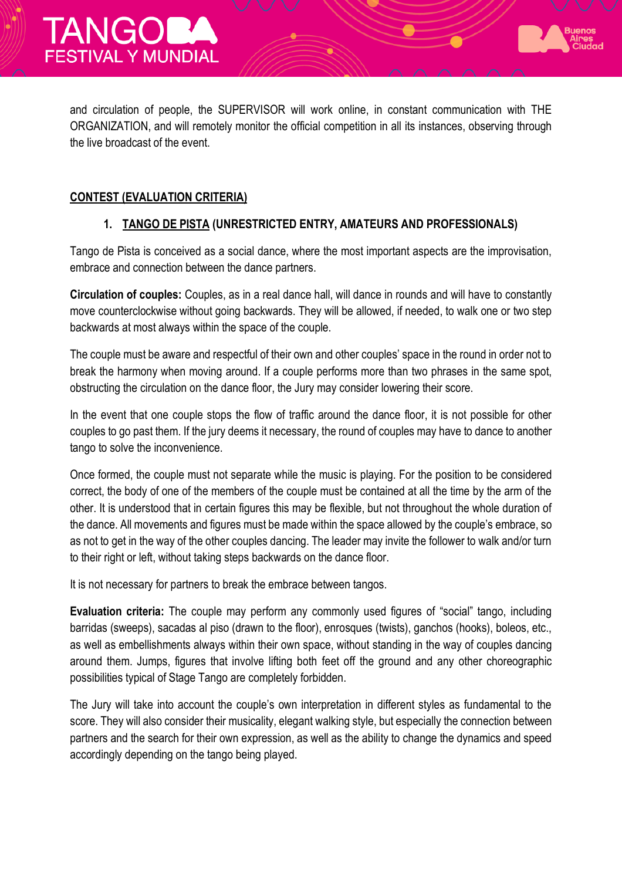



#### **CONTEST (EVALUATION CRITERIA)**

#### **1. TANGO DE PISTA (UNRESTRICTED ENTRY, AMATEURS AND PROFESSIONALS)**

Tango de Pista is conceived as a social dance, where the most important aspects are the improvisation, embrace and connection between the dance partners.

**Circulation of couples:** Couples, as in a real dance hall, will dance in rounds and will have to constantly move counterclockwise without going backwards. They will be allowed, if needed, to walk one or two step backwards at most always within the space of the couple.

The couple must be aware and respectful of their own and other couples' space in the round in order not to break the harmony when moving around. If a couple performs more than two phrases in the same spot, obstructing the circulation on the dance floor, the Jury may consider lowering their score.

In the event that one couple stops the flow of traffic around the dance floor, it is not possible for other couples to go past them. If the jury deems it necessary, the round of couples may have to dance to another tango to solve the inconvenience.

Once formed, the couple must not separate while the music is playing. For the position to be considered correct, the body of one of the members of the couple must be contained at all the time by the arm of the other. It is understood that in certain figures this may be flexible, but not throughout the whole duration of the dance. All movements and figures must be made within the space allowed by the couple's embrace, so as not to get in the way of the other couples dancing. The leader may invite the follower to walk and/or turn to their right or left, without taking steps backwards on the dance floor.

It is not necessary for partners to break the embrace between tangos.

**Evaluation criteria:** The couple may perform any commonly used figures of "social" tango, including barridas (sweeps), sacadas al piso (drawn to the floor), enrosques (twists), ganchos (hooks), boleos, etc., as well as embellishments always within their own space, without standing in the way of couples dancing around them. Jumps, figures that involve lifting both feet off the ground and any other choreographic possibilities typical of Stage Tango are completely forbidden.

The Jury will take into account the couple's own interpretation in different styles as fundamental to the score. They will also consider their musicality, elegant walking style, but especially the connection between partners and the search for their own expression, as well as the ability to change the dynamics and speed accordingly depending on the tango being played.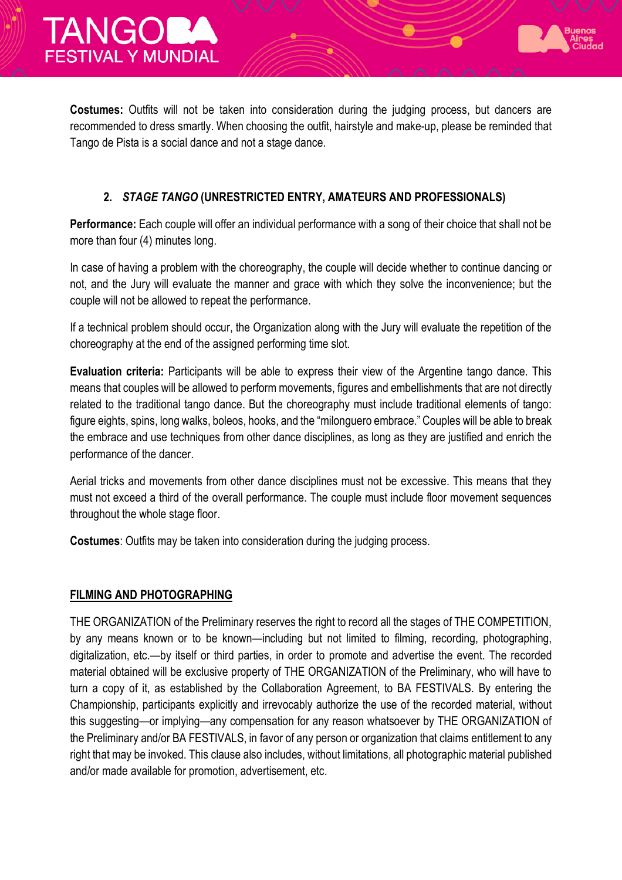



**Costumes:** Outfits will not be taken into consideration during the judging process, but dancers are recommended to dress smartly. When choosing the outfit, hairstyle and make-up, please be reminded that Tango de Pista is a social dance and not a stage dance.

### **2.** *STAGE TANGO* **(UNRESTRICTED ENTRY, AMATEURS AND PROFESSIONALS)**

**Performance:** Each couple will offer an individual performance with a song of their choice that shall not be more than four (4) minutes long.

In case of having a problem with the choreography, the couple will decide whether to continue dancing or not, and the Jury will evaluate the manner and grace with which they solve the inconvenience; but the couple will not be allowed to repeat the performance.

If a technical problem should occur, the Organization along with the Jury will evaluate the repetition of the choreography at the end of the assigned performing time slot.

**Evaluation criteria:** Participants will be able to express their view of the Argentine tango dance. This means that couples will be allowed to perform movements, figures and embellishments that are not directly related to the traditional tango dance. But the choreography must include traditional elements of tango: figure eights, spins, long walks, boleos, hooks, and the "milonguero embrace." Couples will be able to break the embrace and use techniques from other dance disciplines, as long as they are justified and enrich the performance of the dancer.

Aerial tricks and movements from other dance disciplines must not be excessive. This means that they must not exceed a third of the overall performance. The couple must include floor movement sequences throughout the whole stage floor.

**Costumes**: Outfits may be taken into consideration during the judging process.

#### **FILMING AND PHOTOGRAPHING**

THE ORGANIZATION of the Preliminary reserves the right to record all the stages of THE COMPETITION, by any means known or to be known—including but not limited to filming, recording, photographing, digitalization, etc.—by itself or third parties, in order to promote and advertise the event. The recorded material obtained will be exclusive property of THE ORGANIZATION of the Preliminary, who will have to turn a copy of it, as established by the Collaboration Agreement, to BA FESTIVALS. By entering the Championship, participants explicitly and irrevocably authorize the use of the recorded material, without this suggesting—or implying—any compensation for any reason whatsoever by THE ORGANIZATION of the Preliminary and/or BA FESTIVALS, in favor of any person or organization that claims entitlement to any right that may be invoked. This clause also includes, without limitations, all photographic material published and/or made available for promotion, advertisement, etc.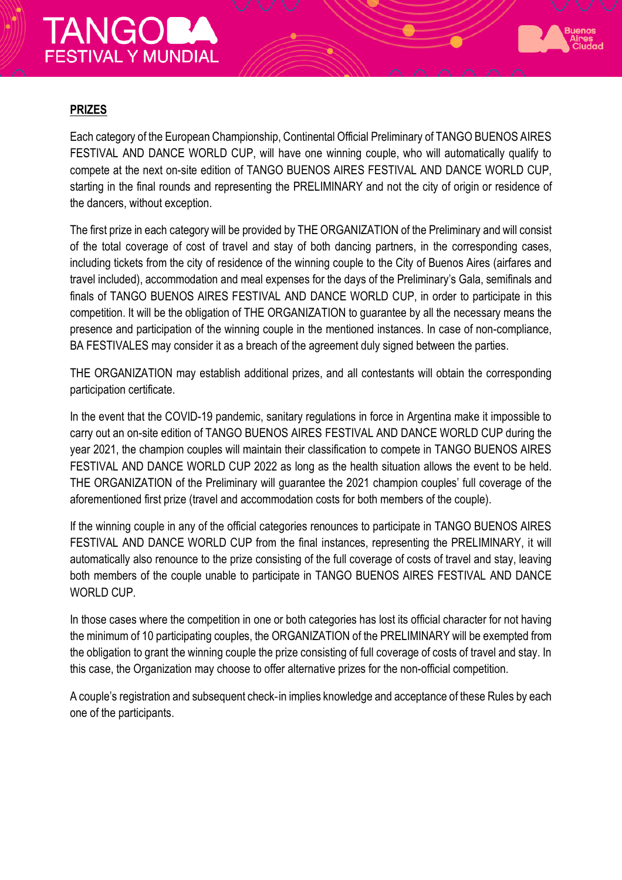# **TANGOB FESTIVAL Y MUNDIAL**



### **PRIZES**

Each category of the European Championship, Continental Official Preliminary of TANGO BUENOS AIRES FESTIVAL AND DANCE WORLD CUP, will have one winning couple, who will automatically qualify to compete at the next on-site edition of TANGO BUENOS AIRES FESTIVAL AND DANCE WORLD CUP, starting in the final rounds and representing the PRELIMINARY and not the city of origin or residence of the dancers, without exception.

The first prize in each category will be provided by THE ORGANIZATION of the Preliminary and will consist of the total coverage of cost of travel and stay of both dancing partners, in the corresponding cases, including tickets from the city of residence of the winning couple to the City of Buenos Aires (airfares and travel included), accommodation and meal expenses for the days of the Preliminary's Gala, semifinals and finals of TANGO BUENOS AIRES FESTIVAL AND DANCE WORLD CUP, in order to participate in this competition. It will be the obligation of THE ORGANIZATION to guarantee by all the necessary means the presence and participation of the winning couple in the mentioned instances. In case of non-compliance, BA FESTIVALES may consider it as a breach of the agreement duly signed between the parties.

THE ORGANIZATION may establish additional prizes, and all contestants will obtain the corresponding participation certificate.

In the event that the COVID-19 pandemic, sanitary regulations in force in Argentina make it impossible to carry out an on-site edition of TANGO BUENOS AIRES FESTIVAL AND DANCE WORLD CUP during the year 2021, the champion couples will maintain their classification to compete in TANGO BUENOS AIRES FESTIVAL AND DANCE WORLD CUP 2022 as long as the health situation allows the event to be held. THE ORGANIZATION of the Preliminary will guarantee the 2021 champion couples' full coverage of the aforementioned first prize (travel and accommodation costs for both members of the couple).

If the winning couple in any of the official categories renounces to participate in TANGO BUENOS AIRES FESTIVAL AND DANCE WORLD CUP from the final instances, representing the PRELIMINARY, it will automatically also renounce to the prize consisting of the full coverage of costs of travel and stay, leaving both members of the couple unable to participate in TANGO BUENOS AIRES FESTIVAL AND DANCE WORLD CUP.

In those cases where the competition in one or both categories has lost its official character for not having the minimum of 10 participating couples, the ORGANIZATION of the PRELIMINARY will be exempted from the obligation to grant the winning couple the prize consisting of full coverage of costs of travel and stay. In this case, the Organization may choose to offer alternative prizes for the non-official competition.

A couple's registration and subsequent check-in implies knowledge and acceptance of these Rules by each one of the participants.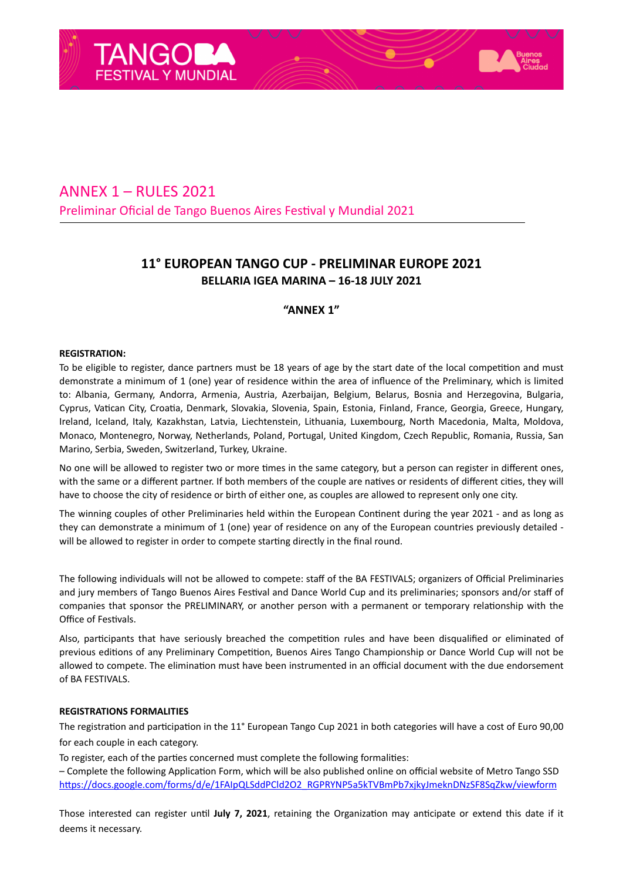



## **11° EUROPEAN TANGO CUP - PRELIMINAR EUROPE 2021 BELLARIA IGEA MARINA – 16-18 JULY 2021**

#### **"ANNEX 1"**

#### **REGISTRATION:**

To be eligible to register, dance partners must be 18 years of age by the start date of the local competition and must demonstrate a minimum of 1 (one) year of residence within the area of influence of the Preliminary, which is limited to: Albania, Germany, Andorra, Armenia, Austria, Azerbaijan, Belgium, Belarus, Bosnia and Herzegovina, Bulgaria, Cyprus, Vatican City, Croatia, Denmark, Slovakia, Slovenia, Spain, Estonia, Finland, France, Georgia, Greece, Hungary, Ireland, Iceland, Italy, Kazakhstan, Latvia, Liechtenstein, Lithuania, Luxembourg, North Macedonia, Malta, Moldova, Monaco, Montenegro, Norway, Netherlands, Poland, Portugal, United Kingdom, Czech Republic, Romania, Russia, San Marino, Serbia, Sweden, Switzerland, Turkey, Ukraine.

No one will be allowed to register two or more times in the same category, but a person can register in different ones, with the same or a different partner. If both members of the couple are natives or residents of different cities, they will have to choose the city of residence or birth of either one, as couples are allowed to represent only one city.

The winning couples of other Preliminaries held within the European Continent during the year 2021 - and as long as they can demonstrate a minimum of 1 (one) year of residence on any of the European countries previously detailed will be allowed to register in order to compete starting directly in the final round.

The following individuals will not be allowed to compete: staff of the BA FESTIVALS; organizers of Official Preliminaries and jury members of Tango Buenos Aires Festival and Dance World Cup and its preliminaries; sponsors and/or staff of companies that sponsor the PRELIMINARY, or another person with a permanent or temporary relationship with the Office of Festivals.

Also, participants that have seriously breached the competition rules and have been disqualified or eliminated of previous editions of any Preliminary Competition, Buenos Aires Tango Championship or Dance World Cup will not be allowed to compete. The elimination must have been instrumented in an official document with the due endorsement of BA FESTIVALS.

#### **REGISTRATIONS FORMALITIES**

The registration and participation in the 11° European Tango Cup 2021 in both categories will have a cost of Euro 90,00 for each couple in each category.

To register, each of the parties concerned must complete the following formalities:

– Complete the following Application Form, which will be also published online on official website of Metro Tango SSD https://docs.google.com/forms/d/e/1FAIpQLSddPCld2O2\_RGPRYNP5a5kTVBmPb7xjkyJmeknDNzSF8SqZkw/viewform

Those interested can register until July 7, 2021, retaining the Organization may anticipate or extend this date if it deems it necessary.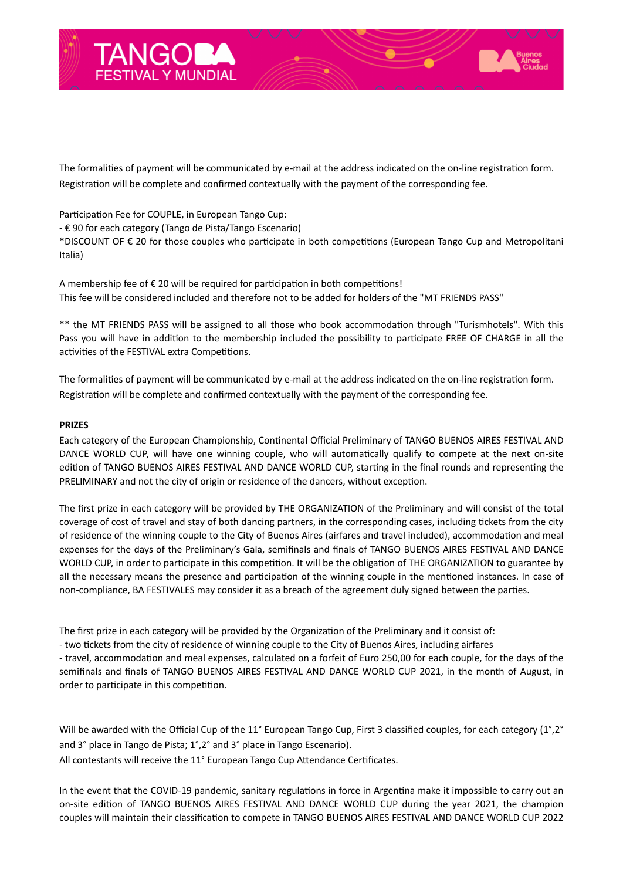

The formalities of payment will be communicated by e-mail at the address indicated on the on-line registration form. Registration will be complete and confirmed contextually with the payment of the corresponding fee.

Participation Fee for COUPLE, in European Tango Cup:

- € 90 for each category (Tango de Pista/Tango Escenario)

\*DISCOUNT OF € 20 for those couples who participate in both competitions (European Tango Cup and Metropolitani Italia)

A membership fee of  $\epsilon$  20 will be required for participation in both competitions! This fee will be considered included and therefore not to be added for holders of the "MT FRIENDS PASS"

\*\* the MT FRIENDS PASS will be assigned to all those who book accommodation through "Turismhotels". With this Pass you will have in addition to the membership included the possibility to participate FREE OF CHARGE in all the activities of the FESTIVAL extra Competitions.

The formalities of payment will be communicated by e-mail at the address indicated on the on-line registration form. Registration will be complete and confirmed contextually with the payment of the corresponding fee.

#### **PRIZES**

Each category of the European Championship, Continental Official Preliminary of TANGO BUENOS AIRES FESTIVAL AND DANCE WORLD CUP, will have one winning couple, who will automatically qualify to compete at the next on-site edition of TANGO BUENOS AIRES FESTIVAL AND DANCE WORLD CUP, starting in the final rounds and representing the PRELIMINARY and not the city of origin or residence of the dancers, without exception.

The first prize in each category will be provided by THE ORGANIZATION of the Preliminary and will consist of the total coverage of cost of travel and stay of both dancing partners, in the corresponding cases, including tickets from the city of residence of the winning couple to the City of Buenos Aires (airfares and travel included), accommodation and meal expenses for the days of the Preliminary's Gala, semifinals and finals of TANGO BUENOS AIRES FESTIVAL AND DANCE WORLD CUP, in order to participate in this competition. It will be the obligation of THE ORGANIZATION to guarantee by all the necessary means the presence and participation of the winning couple in the mentioned instances. In case of non-compliance, BA FESTIVALES may consider it as a breach of the agreement duly signed between the parties.

The first prize in each category will be provided by the Organization of the Preliminary and it consist of:

- two tickets from the city of residence of winning couple to the City of Buenos Aires, including airfares

- travel, accommodation and meal expenses, calculated on a forfeit of Euro 250,00 for each couple, for the days of the semifinals and finals of TANGO BUENOS AIRES FESTIVAL AND DANCE WORLD CUP 2021, in the month of August, in order to participate in this competition.

Will be awarded with the Official Cup of the 11° European Tango Cup, First 3 classified couples, for each category (1°,2° and 3° place in Tango de Pista; 1°,2° and 3° place in Tango Escenario). All contestants will receive the 11° European Tango Cup Attendance Certificates.

In the event that the COVID-19 pandemic, sanitary regulations in force in Argentina make it impossible to carry out an on-site edition of TANGO BUENOS AIRES FESTIVAL AND DANCE WORLD CUP during the year 2021, the champion couples will maintain their classification to compete in TANGO BUENOS AIRES FESTIVAL AND DANCE WORLD CUP 2022